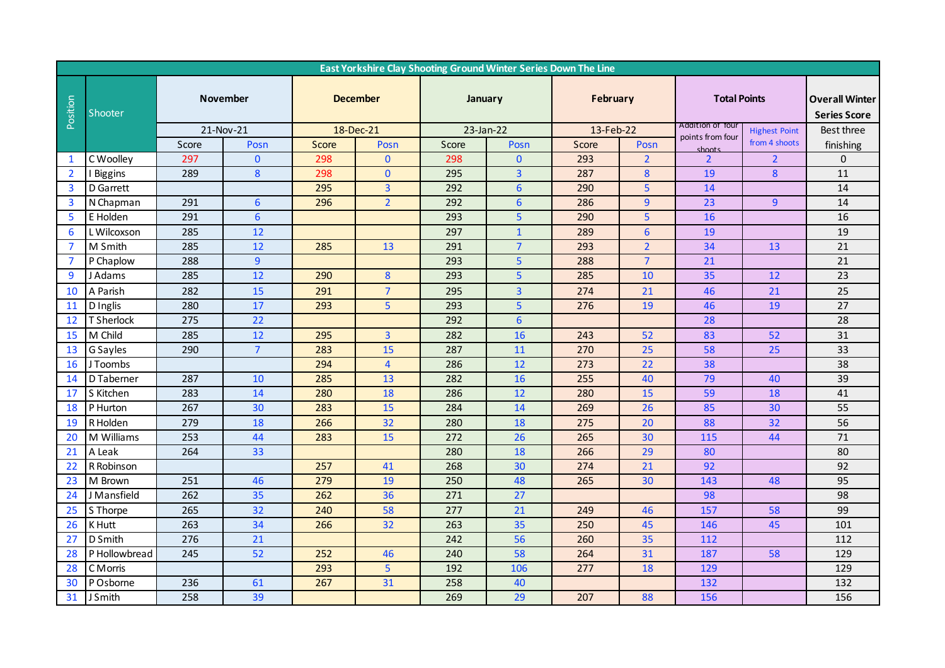|                         | East Yorkshire Clay Shooting Ground Winter Series Down The Line |                 |                  |                 |                         |           |                 |           |                  |                                      |                      |                 |  |  |
|-------------------------|-----------------------------------------------------------------|-----------------|------------------|-----------------|-------------------------|-----------|-----------------|-----------|------------------|--------------------------------------|----------------------|-----------------|--|--|
| Position                | Shooter                                                         | <b>November</b> |                  | <b>December</b> |                         |           | January         |           | February         |                                      | <b>Total Points</b>  |                 |  |  |
|                         |                                                                 |                 | 21-Nov-21        |                 | 18-Dec-21               | 23-Jan-22 |                 | 13-Feb-22 |                  | Addition of Tour<br>points from four | <b>Highest Point</b> | Best three      |  |  |
|                         |                                                                 | Score           | Posn             | Score           | Posn                    | Score     | Posn            | Score     | Posn             | shoots                               | from 4 shoots        | finishing       |  |  |
| $\mathbf{1}$            | C Woolley                                                       | 297             | $\mathbf{0}$     | 298             | $\overline{0}$          | 298       | $\overline{0}$  | 293       | $\overline{2}$   | 2 <sup>1</sup>                       | $\overline{2}$       | 0               |  |  |
| $\overline{2}$          | <b>Biggins</b>                                                  | 289             | $\boldsymbol{8}$ | 298             | $\overline{0}$          | 295       | $\overline{3}$  | 287       | $\boldsymbol{8}$ | 19                                   | 8                    | 11              |  |  |
| $\overline{\mathbf{3}}$ | D Garrett                                                       |                 |                  | 295             | $\overline{\mathbf{3}}$ | 292       | $6\phantom{a}$  | 290       | 5                | 14                                   |                      | 14              |  |  |
| $\overline{\mathbf{3}}$ | N Chapman                                                       | 291             | $6\phantom{1}$   | 296             | $\overline{2}$          | 292       | $6\phantom{a}$  | 286       | $\overline{9}$   | 23                                   | $\overline{9}$       | 14              |  |  |
| 5                       | E Holden                                                        | 291             | $6\phantom{1}$   |                 |                         | 293       | 5               | 290       | 5                | 16                                   |                      | 16              |  |  |
| 6                       | L Wilcoxson                                                     | 285             | 12               |                 |                         | 297       | $\mathbf{1}$    | 289       | $6\overline{6}$  | 19                                   |                      | 19              |  |  |
| $\overline{7}$          | M Smith                                                         | 285             | 12               | 285             | 13                      | 291       | $\overline{7}$  | 293       | $\overline{2}$   | 34                                   | 13                   | 21              |  |  |
| $\overline{7}$          | P Chaplow                                                       | 288             | $\overline{9}$   |                 |                         | 293       | 5               | 288       | $\overline{7}$   | 21                                   |                      | 21              |  |  |
| 9                       | J Adams                                                         | 285             | 12               | 290             | 8                       | 293       | 5               | 285       | 10               | 35                                   | 12                   | 23              |  |  |
| 10                      | A Parish                                                        | 282             | 15               | 291             | $\overline{7}$          | 295       | $\overline{3}$  | 274       | 21               | 46                                   | 21                   | 25              |  |  |
| 11                      | D Inglis                                                        | 280             | 17               | 293             | $\overline{5}$          | 293       | $\overline{5}$  | 276       | 19               | 46                                   | 19                   | $\overline{27}$ |  |  |
| <b>12</b>               | <b>T Sherlock</b>                                               | 275             | 22               |                 |                         | 292       | $6\overline{6}$ |           |                  | 28                                   |                      | 28              |  |  |
| 15                      | M Child                                                         | 285             | 12               | 295             | $\overline{3}$          | 282       | 16              | 243       | 52               | 83                                   | 52                   | 31              |  |  |
| 13                      | G Sayles                                                        | 290             | $\overline{7}$   | 283             | 15                      | 287       | 11              | 270       | 25               | 58                                   | 25                   | 33              |  |  |
| <b>16</b>               | J Toombs                                                        |                 |                  | 294             | $\overline{4}$          | 286       | 12              | 273       | $\overline{22}$  | 38                                   |                      | 38              |  |  |
| 14                      | D Taberner                                                      | 287             | 10               | 285             | 13                      | 282       | 16              | 255       | 40               | 79                                   | 40                   | 39              |  |  |
| 17                      | S Kitchen                                                       | 283             | 14               | 280             | 18                      | 286       | 12              | 280       | 15               | 59                                   | 18                   | 41              |  |  |
| 18                      | P Hurton                                                        | 267             | 30               | 283             | 15                      | 284       | 14              | 269       | 26               | 85                                   | 30                   | 55              |  |  |
| 19                      | R Holden                                                        | 279             | 18               | 266             | 32                      | 280       | 18              | 275       | 20               | 88                                   | 32                   | 56              |  |  |
| 20                      | M Williams                                                      | 253             | 44               | 283             | 15                      | 272       | 26              | 265       | 30               | 115                                  | 44                   | $\overline{71}$ |  |  |
| 21                      | A Leak                                                          | 264             | 33               |                 |                         | 280       | 18              | 266       | 29               | 80                                   |                      | 80              |  |  |
| 22                      | R Robinson                                                      |                 |                  | 257             | 41                      | 268       | 30              | 274       | 21               | 92                                   |                      | 92              |  |  |
| 23                      | M Brown                                                         | 251             | 46               | 279             | 19                      | 250       | 48              | 265       | 30               | 143                                  | 48                   | 95              |  |  |
| 24                      | J Mansfield                                                     | 262             | 35               | 262             | 36                      | 271       | 27              |           |                  | 98                                   |                      | 98              |  |  |
| 25                      | S Thorpe                                                        | 265             | 32               | 240             | 58                      | 277       | 21              | 249       | 46               | 157                                  | 58                   | 99              |  |  |
| 26                      | K Hutt                                                          | 263             | 34               | 266             | 32                      | 263       | 35              | 250       | 45               | 146                                  | 45                   | 101             |  |  |
| 27                      | D Smith                                                         | 276             | 21               |                 |                         | 242       | 56              | 260       | 35               | 112                                  |                      | 112             |  |  |
| 28                      | P Hollowbread                                                   | 245             | 52               | 252             | 46                      | 240       | 58              | 264       | 31               | 187                                  | 58                   | 129             |  |  |
| 28                      | C Morris                                                        |                 |                  | 293             | 5                       | 192       | 106             | 277       | 18               | 129                                  |                      | 129             |  |  |
| 30                      | P Osborne                                                       | 236             | 61               | 267             | 31                      | 258       | 40              |           |                  | 132                                  |                      | 132             |  |  |
| 31                      | J Smith                                                         | 258             | 39               |                 |                         | 269       | 29              | 207       | 88               | 156                                  |                      | 156             |  |  |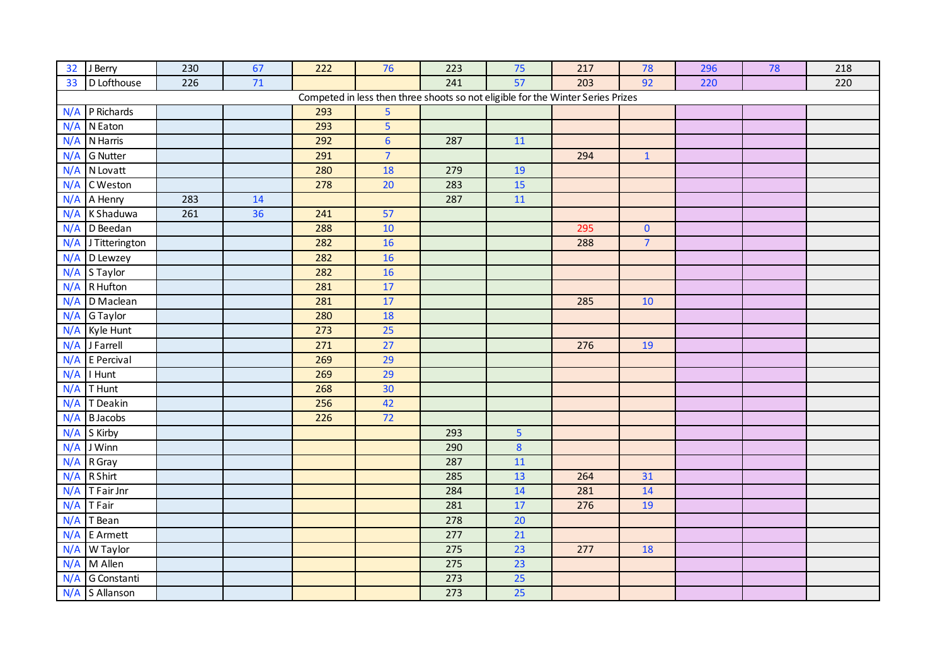| 32  | J Berry         | 230              | 67 | 222              | 76              | 223              | 75              | 217                                                                             | 78             | 296 | 78 | 218 |
|-----|-----------------|------------------|----|------------------|-----------------|------------------|-----------------|---------------------------------------------------------------------------------|----------------|-----|----|-----|
| 33  | D Lofthouse     | $\overline{226}$ | 71 |                  |                 | 241              | 57              | 203                                                                             | 92             | 220 |    | 220 |
|     |                 |                  |    |                  |                 |                  |                 | Competed in less then three shoots so not eligible for the Winter Series Prizes |                |     |    |     |
| N/A | P Richards      |                  |    | 293              | 5               |                  |                 |                                                                                 |                |     |    |     |
| N/A | N Eaton         |                  |    | 293              | $\overline{5}$  |                  |                 |                                                                                 |                |     |    |     |
| N/A | N Harris        |                  |    | 292              | $6\overline{6}$ | 287              | 11              |                                                                                 |                |     |    |     |
| N/A | <b>G</b> Nutter |                  |    | 291              | $\overline{7}$  |                  |                 | 294                                                                             | $\mathbf{1}$   |     |    |     |
| N/A | N Lovatt        |                  |    | 280              | 18              | 279              | 19              |                                                                                 |                |     |    |     |
| N/A | C Weston        |                  |    | 278              | 20              | 283              | 15              |                                                                                 |                |     |    |     |
| N/A | A Henry         | 283              | 14 |                  |                 | 287              | 11              |                                                                                 |                |     |    |     |
| N/A | K Shaduwa       | 261              | 36 | 241              | 57              |                  |                 |                                                                                 |                |     |    |     |
| N/A | D Beedan        |                  |    | 288              | 10              |                  |                 | 295                                                                             | $\pmb{0}$      |     |    |     |
| N/A | J Titterington  |                  |    | 282              | 16              |                  |                 | 288                                                                             | $\overline{7}$ |     |    |     |
| N/A | D Lewzey        |                  |    | 282              | 16              |                  |                 |                                                                                 |                |     |    |     |
| N/A | S Taylor        |                  |    | 282              | 16              |                  |                 |                                                                                 |                |     |    |     |
| N/A | R Hufton        |                  |    | 281              | 17              |                  |                 |                                                                                 |                |     |    |     |
| N/A | D Maclean       |                  |    | 281              | 17              |                  |                 | 285                                                                             | 10             |     |    |     |
| N/A | G Taylor        |                  |    | 280              | 18              |                  |                 |                                                                                 |                |     |    |     |
| N/A | Kyle Hunt       |                  |    | 273              | 25              |                  |                 |                                                                                 |                |     |    |     |
| N/A | J Farrell       |                  |    | $\overline{271}$ | $\overline{27}$ |                  |                 | 276                                                                             | 19             |     |    |     |
| N/A | E Percival      |                  |    | 269              | 29              |                  |                 |                                                                                 |                |     |    |     |
| N/A | I Hunt          |                  |    | 269              | $\overline{29}$ |                  |                 |                                                                                 |                |     |    |     |
| N/A | T Hunt          |                  |    | 268              | 30              |                  |                 |                                                                                 |                |     |    |     |
| N/A | T Deakin        |                  |    | 256              | 42              |                  |                 |                                                                                 |                |     |    |     |
| N/A | <b>B</b> Jacobs |                  |    | 226              | $\overline{72}$ |                  |                 |                                                                                 |                |     |    |     |
| N/A | S Kirby         |                  |    |                  |                 | 293              | 5               |                                                                                 |                |     |    |     |
| N/A | J Winn          |                  |    |                  |                 | 290              | $\bf 8$         |                                                                                 |                |     |    |     |
| N/A | R Gray          |                  |    |                  |                 | 287              | 11              |                                                                                 |                |     |    |     |
| N/A | <b>R</b> Shirt  |                  |    |                  |                 | 285              | 13              | 264                                                                             | 31             |     |    |     |
| N/A | T Fair Jnr      |                  |    |                  |                 | 284              | 14              | 281                                                                             | 14             |     |    |     |
| N/A | T Fair          |                  |    |                  |                 | 281              | 17              | 276                                                                             | 19             |     |    |     |
| N/A | T Bean          |                  |    |                  |                 | 278              | 20              |                                                                                 |                |     |    |     |
| N/A | <b>E</b> Armett |                  |    |                  |                 | $\overline{277}$ | $\overline{21}$ |                                                                                 |                |     |    |     |
| N/A | W Taylor        |                  |    |                  |                 | 275              | 23              | 277                                                                             | 18             |     |    |     |
| N/A | M Allen         |                  |    |                  |                 | 275              | 23              |                                                                                 |                |     |    |     |
| N/A | G Constanti     |                  |    |                  |                 | 273              | 25              |                                                                                 |                |     |    |     |
|     | N/A S Allanson  |                  |    |                  |                 | 273              | 25              |                                                                                 |                |     |    |     |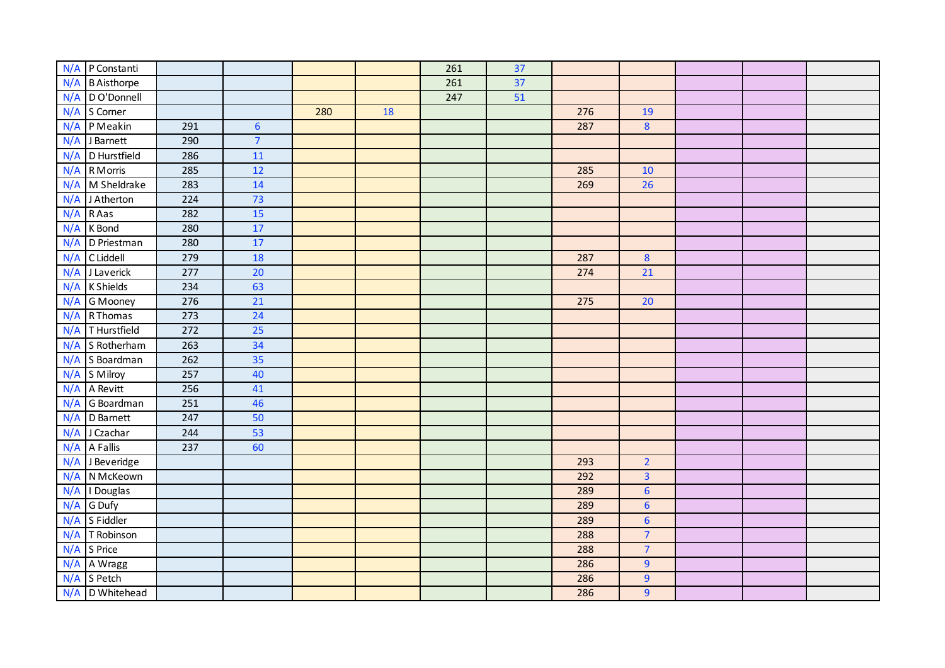| N/A | P Constanti        |                  |                  |     |    | 261 | 37 |     |                  |  |  |
|-----|--------------------|------------------|------------------|-----|----|-----|----|-----|------------------|--|--|
| N/A | <b>B</b> Aisthorpe |                  |                  |     |    | 261 | 37 |     |                  |  |  |
| N/A | D O'Donnell        |                  |                  |     |    | 247 | 51 |     |                  |  |  |
| N/A | S Corner           |                  |                  | 280 | 18 |     |    | 276 | 19               |  |  |
| N/A | P Meakin           | 291              | $\boldsymbol{6}$ |     |    |     |    | 287 | $\boldsymbol{8}$ |  |  |
| N/A | J Barnett          | 290              | $\overline{7}$   |     |    |     |    |     |                  |  |  |
| N/A | D Hurstfield       | 286              | 11               |     |    |     |    |     |                  |  |  |
| N/A | R Morris           | 285              | 12               |     |    |     |    | 285 | 10               |  |  |
| N/A | M Sheldrake        | 283              | 14               |     |    |     |    | 269 | 26               |  |  |
| N/A | J Atherton         | $\overline{224}$ | 73               |     |    |     |    |     |                  |  |  |
| N/A | R Aas              | 282              | 15               |     |    |     |    |     |                  |  |  |
| N/A | K Bond             | 280              | 17               |     |    |     |    |     |                  |  |  |
| N/A | D Priestman        | 280              | 17               |     |    |     |    |     |                  |  |  |
| N/A | C Liddell          | 279              | 18               |     |    |     |    | 287 | 8                |  |  |
| N/A | J Laverick         | 277              | 20               |     |    |     |    | 274 | 21               |  |  |
| N/A | K Shields          | 234              | 63               |     |    |     |    |     |                  |  |  |
| N/A | G Mooney           | 276              | 21               |     |    |     |    | 275 | 20               |  |  |
| N/A | R Thomas           | 273              | 24               |     |    |     |    |     |                  |  |  |
| N/A | T Hurstfield       | $\overline{272}$ | 25               |     |    |     |    |     |                  |  |  |
| N/A | S Rotherham        | 263              | 34               |     |    |     |    |     |                  |  |  |
| N/A | S Boardman         | 262              | 35               |     |    |     |    |     |                  |  |  |
|     | N/A S Milroy       | 257              | 40               |     |    |     |    |     |                  |  |  |
| N/A | A Revitt           | 256              | 41               |     |    |     |    |     |                  |  |  |
| N/A | G Boardman         | 251              | 46               |     |    |     |    |     |                  |  |  |
| N/A | D Barnett          | 247              | 50               |     |    |     |    |     |                  |  |  |
| N/A | J Czachar          | 244              | 53               |     |    |     |    |     |                  |  |  |
| N/A | A Fallis           | 237              | 60               |     |    |     |    |     |                  |  |  |
| N/A | J Beveridge        |                  |                  |     |    |     |    | 293 | $\overline{2}$   |  |  |
| N/A | N McKeown          |                  |                  |     |    |     |    | 292 | $\overline{3}$   |  |  |
| N/A | I Douglas          |                  |                  |     |    |     |    | 289 | $6\overline{6}$  |  |  |
| N/A | G Dufy             |                  |                  |     |    |     |    | 289 | $6\phantom{a}$   |  |  |
| N/A | S Fiddler          |                  |                  |     |    |     |    | 289 | $6\phantom{a}$   |  |  |
| N/A | T Robinson         |                  |                  |     |    |     |    | 288 | $\overline{7}$   |  |  |
| N/A | S Price            |                  |                  |     |    |     |    | 288 | $\overline{7}$   |  |  |
| N/A | A Wragg            |                  |                  |     |    |     |    | 286 | $\overline{9}$   |  |  |
| N/A | S Petch            |                  |                  |     |    |     |    | 286 | $\overline{9}$   |  |  |
|     | N/A D Whitehead    |                  |                  |     |    |     |    | 286 | $\overline{9}$   |  |  |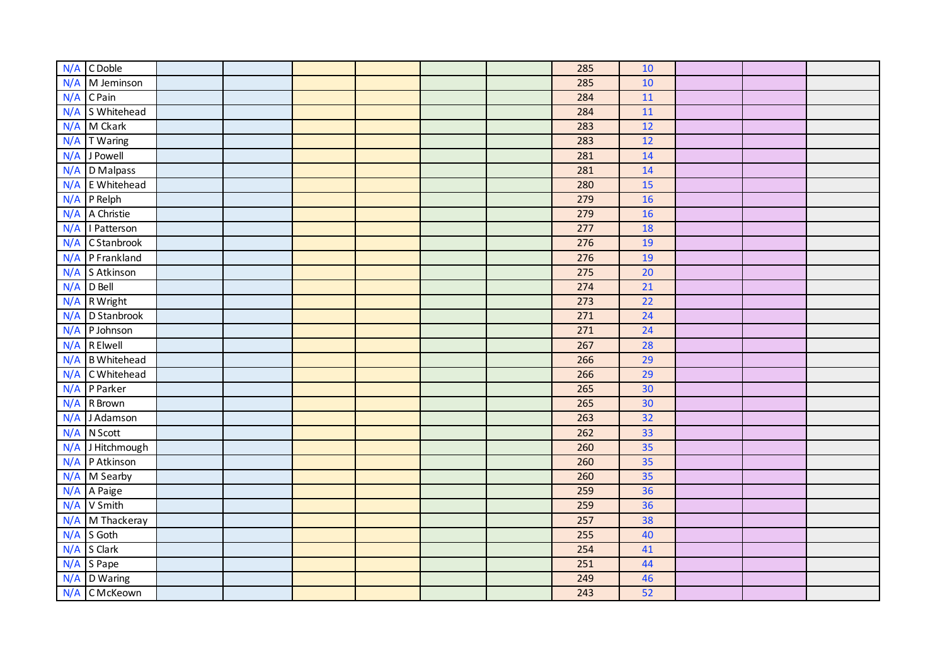| N/A<br>C Doble            |  |  |  | 285             | 10 |  |  |
|---------------------------|--|--|--|-----------------|----|--|--|
| M Jeminson<br>N/A         |  |  |  | 285             | 10 |  |  |
| C Pain<br>N/A             |  |  |  | 284             | 11 |  |  |
| S Whitehead<br>N/A        |  |  |  | 284             | 11 |  |  |
| M Ckark<br>N/A            |  |  |  | 283             | 12 |  |  |
| T Waring<br>N/A           |  |  |  | 283             | 12 |  |  |
| J Powell<br>N/A           |  |  |  | 281             | 14 |  |  |
| N/A<br>D Malpass          |  |  |  | 281             | 14 |  |  |
| E Whitehead<br>N/A        |  |  |  | 280             | 15 |  |  |
| P Relph<br>N/A            |  |  |  | 279             | 16 |  |  |
| A Christie<br>N/A         |  |  |  | 279             | 16 |  |  |
| I Patterson<br>N/A        |  |  |  | $\frac{1}{277}$ | 18 |  |  |
| C Stanbrook<br>N/A        |  |  |  | 276             | 19 |  |  |
| P Frankland<br>N/A        |  |  |  | 276             | 19 |  |  |
| N/A S Atkinson            |  |  |  | 275             | 20 |  |  |
| N/A<br>D Bell             |  |  |  | 274             | 21 |  |  |
| R Wright<br>N/A           |  |  |  | 273             | 22 |  |  |
| D Stanbrook<br>N/A        |  |  |  | 271             | 24 |  |  |
| P Johnson<br>N/A          |  |  |  | 271             | 24 |  |  |
| <b>R</b> Elwell<br>N/A    |  |  |  | 267             | 28 |  |  |
| <b>B</b> Whitehead<br>N/A |  |  |  | 266             | 29 |  |  |
| N/A<br>C Whitehead        |  |  |  | 266             | 29 |  |  |
| N/A<br>P Parker           |  |  |  | 265             | 30 |  |  |
| N/A<br>R Brown            |  |  |  | 265             | 30 |  |  |
| <b>J</b> Adamson<br>N/A   |  |  |  | 263             | 32 |  |  |
| N/A<br>N Scott            |  |  |  | 262             | 33 |  |  |
| N/A<br>J Hitchmough       |  |  |  | 260             | 35 |  |  |
| N/A<br>P Atkinson         |  |  |  | 260             | 35 |  |  |
| M Searby<br>N/A           |  |  |  | 260             | 35 |  |  |
| N/A<br>A Paige            |  |  |  | 259             | 36 |  |  |
| N/A<br>V Smith            |  |  |  | 259             | 36 |  |  |
| M Thackeray<br>N/A        |  |  |  | 257             | 38 |  |  |
| N/A<br>S Goth             |  |  |  | 255             | 40 |  |  |
| S Clark<br>N/A            |  |  |  | 254             | 41 |  |  |
| S Pape<br>N/A             |  |  |  | 251             | 44 |  |  |
| D Waring<br>N/A           |  |  |  | 249             | 46 |  |  |
| C McKeown<br>N/A          |  |  |  | 243             | 52 |  |  |